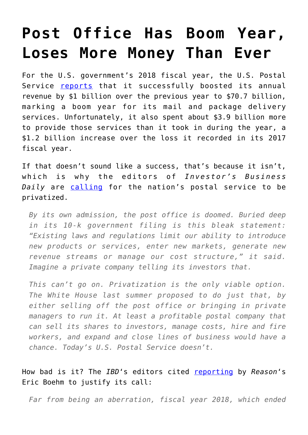## **[Post Office Has Boom Year,](https://intellectualtakeout.org/2018/11/post-office-has-boom-year-loses-more-money-than-ever/) [Loses More Money Than Ever](https://intellectualtakeout.org/2018/11/post-office-has-boom-year-loses-more-money-than-ever/)**

For the U.S. government's 2018 fiscal year, the U.S. Postal Service [reports](http://about.usps.com/who-we-are/financials/10k-reports/fy2018.pdf) that it successfully boosted its annual revenue by \$1 billion over the previous year to \$70.7 billion, marking a boom year for its mail and package delivery services. Unfortunately, it also spent about \$3.9 billion more to provide those services than it took in during the year, a \$1.2 billion increase over the loss it recorded in its 2017 fiscal year.

If that doesn't sound like a success, that's because it isn't, which is why the editors of *Investor's Business Daily* are [calling](https://www.investors.com/politics/editorials/postal-service-losses-privatize/) for the nation's postal service to be privatized.

*By its own admission, the post office is doomed. Buried deep in its 10-k government filing is this bleak statement: "Existing laws and regulations limit our ability to introduce new products or services, enter new markets, generate new revenue streams or manage our cost structure," it said. Imagine a private company telling its investors that.*

*This can't go on. Privatization is the only viable option. The White House last summer proposed to do just that, by either selling off the post office or bringing in private managers to run it. At least a profitable postal company that can sell its shares to investors, manage costs, hire and fire workers, and expand and close lines of business would have a chance. Today's U.S. Postal Service doesn't.*

How bad is it? The *IBD*'s editors cited [reporting](https://reason.com/blog/2018/11/15/the-postal-service-lost-4-billion-2018) by *Reason*'s Eric Boehm to justify its call:

*Far from being an aberration, fiscal year 2018, which ended*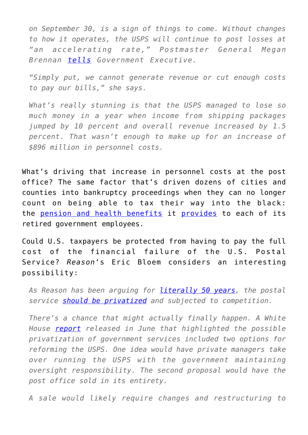*on September 30, is a sign of things to come. Without changes to how it operates, the USPS will continue to post losses at "an accelerating rate," Postmaster General Megan Brennan [tells](https://www.govexec.com/management/2018/11/postal-service-loses-39-billion-fiscal-2018/152826/) Government Executive.*

*"Simply put, we cannot generate revenue or cut enough costs to pay our bills," she says.*

*What's really stunning is that the USPS managed to lose so much money in a year when income from shipping packages jumped by 10 percent and overall revenue increased by 1.5 percent. That wasn't enough to make up for an increase of \$896 million in personnel costs.*

What's driving that increase in personnel costs at the post office? The same factor that's driven dozens of cities and counties into bankruptcy proceedings when they can no longer count on being able to tax their way into the black: the [pension and health benefits](https://www.cnbc.com/id/45018432) it [provides](https://work.chron.com/much-postal-workers-paid-retire-22117.html) to each of its retired government employees.

Could U.S. taxpayers be protected from having to pay the full cost of the financial failure of the U.S. Postal Service? *Reason*'s Eric Bloem considers an interesting possibility:

*As Reason has been arguing for [literally 50 years](http://reason.com/archives/1968/09/01/why-not-a-laissez-faire-postal-system), the postal service [should be privatized](https://reason.org/commentary/postal-privatization-not-junk-mail/) and subjected to competition.*

*There's a chance that might actually finally happen. A White House [report](https://www.whitehouse.gov/wp-content/uploads/2018/06/Government-Reform-and-Reorg-Plan.pdf) released in June that highlighted the possible privatization of government services included two options for reforming the USPS. One idea would have private managers take over running the USPS with the government maintaining oversight responsibility. The second proposal would have the post office sold in its entirety.*

*A sale would likely require changes and restructuring to*